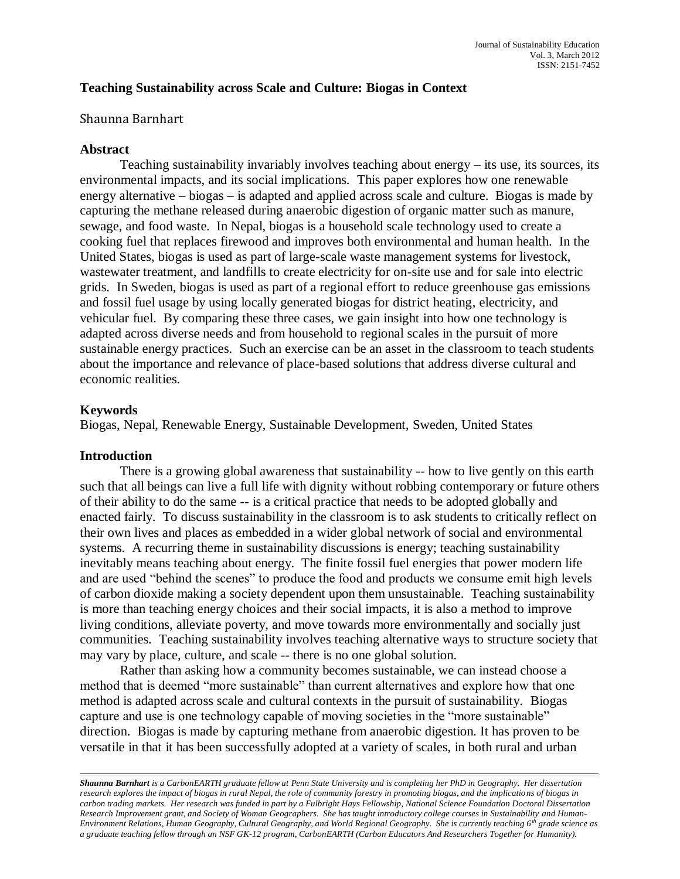# **Teaching Sustainability across Scale and Culture: Biogas in Context**

## Shaunna Barnhart

## **Abstract**

Teaching sustainability invariably involves teaching about energy – its use, its sources, its environmental impacts, and its social implications. This paper explores how one renewable energy alternative – biogas – is adapted and applied across scale and culture. Biogas is made by capturing the methane released during anaerobic digestion of organic matter such as manure, sewage, and food waste. In Nepal, biogas is a household scale technology used to create a cooking fuel that replaces firewood and improves both environmental and human health. In the United States, biogas is used as part of large-scale waste management systems for livestock, wastewater treatment, and landfills to create electricity for on-site use and for sale into electric grids. In Sweden, biogas is used as part of a regional effort to reduce greenhouse gas emissions and fossil fuel usage by using locally generated biogas for district heating, electricity, and vehicular fuel. By comparing these three cases, we gain insight into how one technology is adapted across diverse needs and from household to regional scales in the pursuit of more sustainable energy practices. Such an exercise can be an asset in the classroom to teach students about the importance and relevance of place-based solutions that address diverse cultural and economic realities.

## **Keywords**

Biogas, Nepal, Renewable Energy, Sustainable Development, Sweden, United States

### **Introduction**

There is a growing global awareness that sustainability -- how to live gently on this earth such that all beings can live a full life with dignity without robbing contemporary or future others of their ability to do the same -- is a critical practice that needs to be adopted globally and enacted fairly. To discuss sustainability in the classroom is to ask students to critically reflect on their own lives and places as embedded in a wider global network of social and environmental systems. A recurring theme in sustainability discussions is energy; teaching sustainability inevitably means teaching about energy. The finite fossil fuel energies that power modern life and are used "behind the scenes" to produce the food and products we consume emit high levels of carbon dioxide making a society dependent upon them unsustainable. Teaching sustainability is more than teaching energy choices and their social impacts, it is also a method to improve living conditions, alleviate poverty, and move towards more environmentally and socially just communities. Teaching sustainability involves teaching alternative ways to structure society that may vary by place, culture, and scale -- there is no one global solution.

Rather than asking how a community becomes sustainable, we can instead choose a method that is deemed "more sustainable" than current alternatives and explore how that one method is adapted across scale and cultural contexts in the pursuit of sustainability. Biogas capture and use is one technology capable of moving societies in the "more sustainable" direction. Biogas is made by capturing methane from anaerobic digestion. It has proven to be versatile in that it has been successfully adopted at a variety of scales, in both rural and urban

*Shaunna Barnhart is a CarbonEARTH graduate fellow at Penn State University and is completing her PhD in Geography. Her dissertation research explores the impact of biogas in rural Nepal, the role of community forestry in promoting biogas, and the implications of biogas in carbon trading markets. Her research was funded in part by a Fulbright Hays Fellowship, National Science Foundation Doctoral Dissertation Research Improvement grant, and Society of Woman Geographers. She has taught introductory college courses in Sustainability and Human-Environment Relations, Human Geography, Cultural Geography, and World Regional Geography. She is currently teaching 6th grade science as a graduate teaching fellow through an NSF GK-12 program, CarbonEARTH (Carbon Educators And Researchers Together for Humanity).*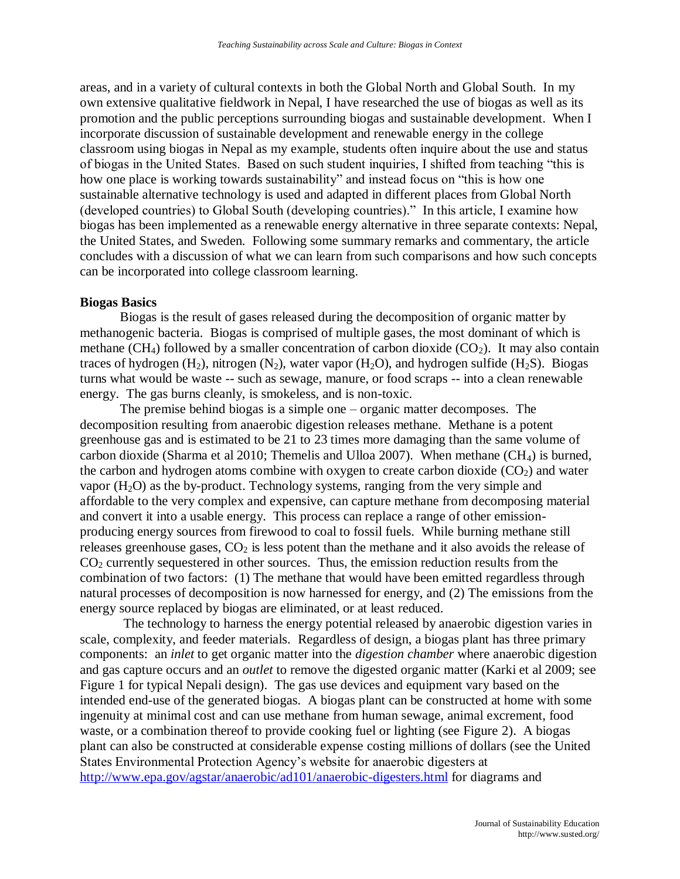areas, and in a variety of cultural contexts in both the Global North and Global South. In my own extensive qualitative fieldwork in Nepal, I have researched the use of biogas as well as its promotion and the public perceptions surrounding biogas and sustainable development. When I incorporate discussion of sustainable development and renewable energy in the college classroom using biogas in Nepal as my example, students often inquire about the use and status of biogas in the United States. Based on such student inquiries, I shifted from teaching "this is how one place is working towards sustainability" and instead focus on "this is how one sustainable alternative technology is used and adapted in different places from Global North (developed countries) to Global South (developing countries)." In this article, I examine how biogas has been implemented as a renewable energy alternative in three separate contexts: Nepal, the United States, and Sweden. Following some summary remarks and commentary, the article concludes with a discussion of what we can learn from such comparisons and how such concepts can be incorporated into college classroom learning.

### **Biogas Basics**

Biogas is the result of gases released during the decomposition of organic matter by methanogenic bacteria. Biogas is comprised of multiple gases, the most dominant of which is methane (CH<sub>4</sub>) followed by a smaller concentration of carbon dioxide (CO<sub>2</sub>). It may also contain traces of hydrogen  $(H_2)$ , nitrogen  $(N_2)$ , water vapor  $(H_2O)$ , and hydrogen sulfide  $(H_2S)$ . Biogas turns what would be waste -- such as sewage, manure, or food scraps -- into a clean renewable energy. The gas burns cleanly, is smokeless, and is non-toxic.

The premise behind biogas is a simple one – organic matter decomposes. The decomposition resulting from anaerobic digestion releases methane. Methane is a potent greenhouse gas and is estimated to be 21 to 23 times more damaging than the same volume of carbon dioxide (Sharma et al 2010; Themelis and Ulloa 2007). When methane  $(CH_4)$  is burned, the carbon and hydrogen atoms combine with oxygen to create carbon dioxide  $(CO<sub>2</sub>)$  and water vapor  $(H<sub>2</sub>O)$  as the by-product. Technology systems, ranging from the very simple and affordable to the very complex and expensive, can capture methane from decomposing material and convert it into a usable energy. This process can replace a range of other emissionproducing energy sources from firewood to coal to fossil fuels. While burning methane still releases greenhouse gases,  $CO<sub>2</sub>$  is less potent than the methane and it also avoids the release of  $CO<sub>2</sub>$  currently sequestered in other sources. Thus, the emission reduction results from the combination of two factors: (1) The methane that would have been emitted regardless through natural processes of decomposition is now harnessed for energy, and (2) The emissions from the energy source replaced by biogas are eliminated, or at least reduced.

The technology to harness the energy potential released by anaerobic digestion varies in scale, complexity, and feeder materials. Regardless of design, a biogas plant has three primary components: an *inlet* to get organic matter into the *digestion chamber* where anaerobic digestion and gas capture occurs and an *outlet* to remove the digested organic matter (Karki et al 2009; see Figure 1 for typical Nepali design). The gas use devices and equipment vary based on the intended end-use of the generated biogas. A biogas plant can be constructed at home with some ingenuity at minimal cost and can use methane from human sewage, animal excrement, food waste, or a combination thereof to provide cooking fuel or lighting (see Figure 2). A biogas plant can also be constructed at considerable expense costing millions of dollars (see the United States Environmental Protection Agency's website for anaerobic digesters at <http://www.epa.gov/agstar/anaerobic/ad101/anaerobic-digesters.html> for diagrams and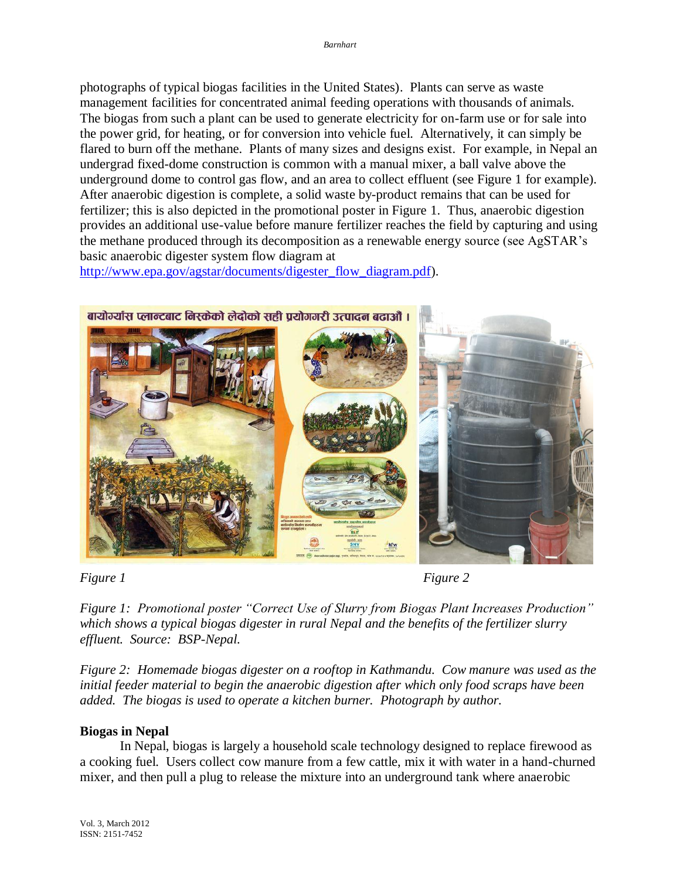photographs of typical biogas facilities in the United States). Plants can serve as waste management facilities for concentrated animal feeding operations with thousands of animals. The biogas from such a plant can be used to generate electricity for on-farm use or for sale into the power grid, for heating, or for conversion into vehicle fuel. Alternatively, it can simply be flared to burn off the methane. Plants of many sizes and designs exist. For example, in Nepal an undergrad fixed-dome construction is common with a manual mixer, a ball valve above the underground dome to control gas flow, and an area to collect effluent (see Figure 1 for example). After anaerobic digestion is complete, a solid waste by-product remains that can be used for fertilizer; this is also depicted in the promotional poster in Figure 1. Thus, anaerobic digestion provides an additional use-value before manure fertilizer reaches the field by capturing and using the methane produced through its decomposition as a renewable energy source (see AgSTAR's basic anaerobic digester system flow diagram at

[http://www.epa.gov/agstar/documents/digester\\_flow\\_diagram.pdf\)](http://www.epa.gov/agstar/documents/digester_flow_diagram.pdf).



*Figure 1* Figure 2

*Figure 1: Promotional poster "Correct Use of Slurry from Biogas Plant Increases Production" which shows a typical biogas digester in rural Nepal and the benefits of the fertilizer slurry effluent. Source: BSP-Nepal.*

*Figure 2: Homemade biogas digester on a rooftop in Kathmandu. Cow manure was used as the initial feeder material to begin the anaerobic digestion after which only food scraps have been added. The biogas is used to operate a kitchen burner. Photograph by author.* 

# **Biogas in Nepal**

In Nepal, biogas is largely a household scale technology designed to replace firewood as a cooking fuel. Users collect cow manure from a few cattle, mix it with water in a hand-churned mixer, and then pull a plug to release the mixture into an underground tank where anaerobic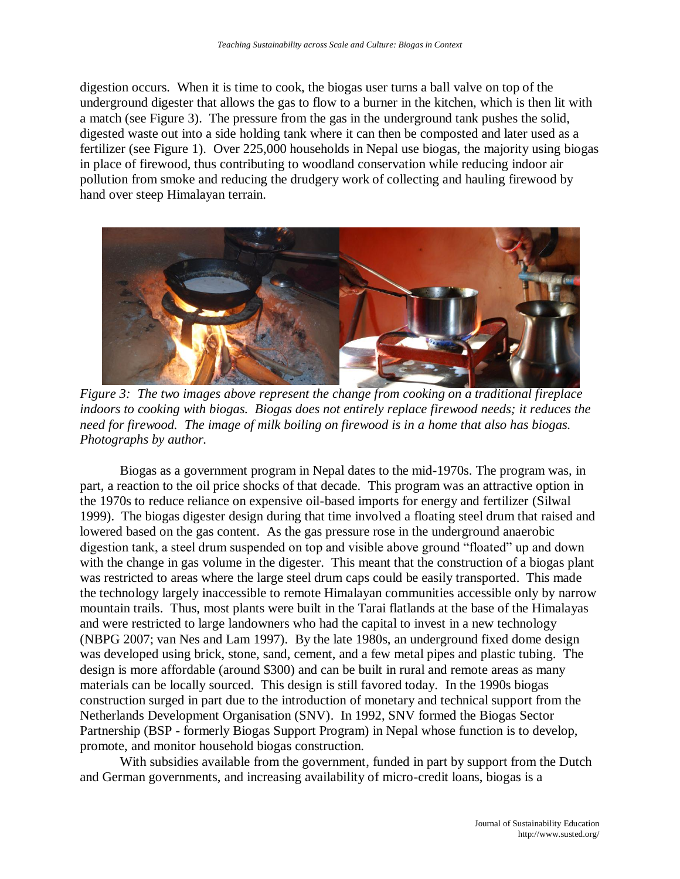digestion occurs. When it is time to cook, the biogas user turns a ball valve on top of the underground digester that allows the gas to flow to a burner in the kitchen, which is then lit with a match (see Figure 3). The pressure from the gas in the underground tank pushes the solid, digested waste out into a side holding tank where it can then be composted and later used as a fertilizer (see Figure 1). Over 225,000 households in Nepal use biogas, the majority using biogas in place of firewood, thus contributing to woodland conservation while reducing indoor air pollution from smoke and reducing the drudgery work of collecting and hauling firewood by hand over steep Himalayan terrain.



*Figure 3: The two images above represent the change from cooking on a traditional fireplace indoors to cooking with biogas. Biogas does not entirely replace firewood needs; it reduces the need for firewood. The image of milk boiling on firewood is in a home that also has biogas. Photographs by author.*

Biogas as a government program in Nepal dates to the mid-1970s. The program was, in part, a reaction to the oil price shocks of that decade. This program was an attractive option in the 1970s to reduce reliance on expensive oil-based imports for energy and fertilizer (Silwal 1999). The biogas digester design during that time involved a floating steel drum that raised and lowered based on the gas content. As the gas pressure rose in the underground anaerobic digestion tank, a steel drum suspended on top and visible above ground "floated" up and down with the change in gas volume in the digester. This meant that the construction of a biogas plant was restricted to areas where the large steel drum caps could be easily transported. This made the technology largely inaccessible to remote Himalayan communities accessible only by narrow mountain trails. Thus, most plants were built in the Tarai flatlands at the base of the Himalayas and were restricted to large landowners who had the capital to invest in a new technology (NBPG 2007; van Nes and Lam 1997). By the late 1980s, an underground fixed dome design was developed using brick, stone, sand, cement, and a few metal pipes and plastic tubing. The design is more affordable (around \$300) and can be built in rural and remote areas as many materials can be locally sourced. This design is still favored today. In the 1990s biogas construction surged in part due to the introduction of monetary and technical support from the Netherlands Development Organisation (SNV). In 1992, SNV formed the Biogas Sector Partnership (BSP - formerly Biogas Support Program) in Nepal whose function is to develop, promote, and monitor household biogas construction.

With subsidies available from the government, funded in part by support from the Dutch and German governments, and increasing availability of micro-credit loans, biogas is a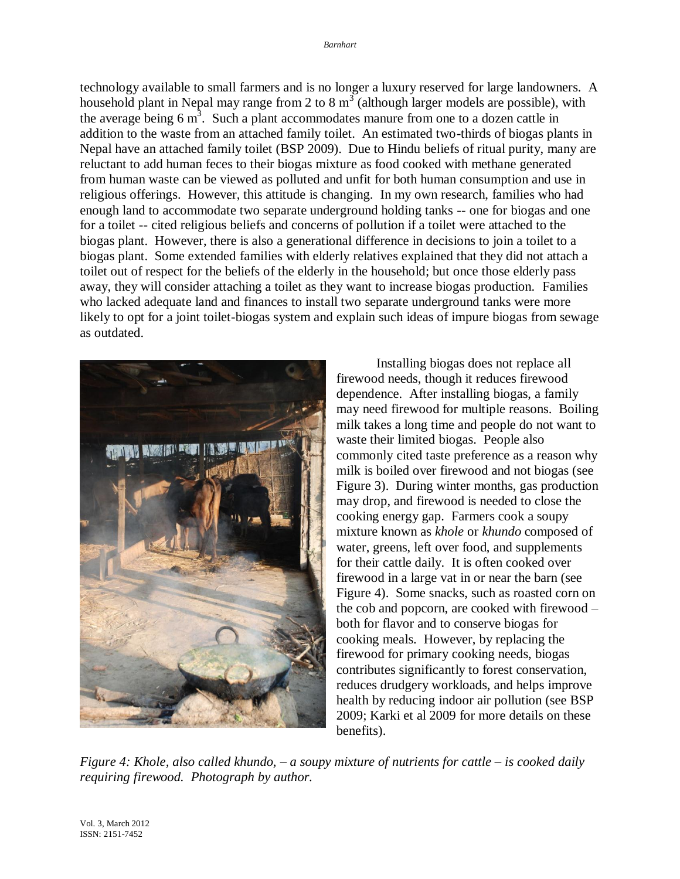technology available to small farmers and is no longer a luxury reserved for large landowners. A household plant in Nepal may range from 2 to 8  $m^3$  (although larger models are possible), with the average being  $6 \text{ m}^3$ . Such a plant accommodates manure from one to a dozen cattle in addition to the waste from an attached family toilet. An estimated two-thirds of biogas plants in Nepal have an attached family toilet (BSP 2009). Due to Hindu beliefs of ritual purity, many are reluctant to add human feces to their biogas mixture as food cooked with methane generated from human waste can be viewed as polluted and unfit for both human consumption and use in religious offerings. However, this attitude is changing. In my own research, families who had enough land to accommodate two separate underground holding tanks -- one for biogas and one for a toilet -- cited religious beliefs and concerns of pollution if a toilet were attached to the biogas plant. However, there is also a generational difference in decisions to join a toilet to a biogas plant. Some extended families with elderly relatives explained that they did not attach a toilet out of respect for the beliefs of the elderly in the household; but once those elderly pass away, they will consider attaching a toilet as they want to increase biogas production. Families who lacked adequate land and finances to install two separate underground tanks were more likely to opt for a joint toilet-biogas system and explain such ideas of impure biogas from sewage as outdated.



Installing biogas does not replace all firewood needs, though it reduces firewood dependence. After installing biogas, a family may need firewood for multiple reasons. Boiling milk takes a long time and people do not want to waste their limited biogas. People also commonly cited taste preference as a reason why milk is boiled over firewood and not biogas (see Figure 3). During winter months, gas production may drop, and firewood is needed to close the cooking energy gap. Farmers cook a soupy mixture known as *khole* or *khundo* composed of water, greens, left over food, and supplements for their cattle daily. It is often cooked over firewood in a large vat in or near the barn (see Figure 4). Some snacks, such as roasted corn on the cob and popcorn, are cooked with firewood – both for flavor and to conserve biogas for cooking meals. However, by replacing the firewood for primary cooking needs, biogas contributes significantly to forest conservation, reduces drudgery workloads, and helps improve health by reducing indoor air pollution (see BSP 2009; Karki et al 2009 for more details on these benefits).

*Figure 4: Khole, also called khundo, – a soupy mixture of nutrients for cattle – is cooked daily requiring firewood. Photograph by author.*

Vol. 3, March 2012 ISSN: 2151-7452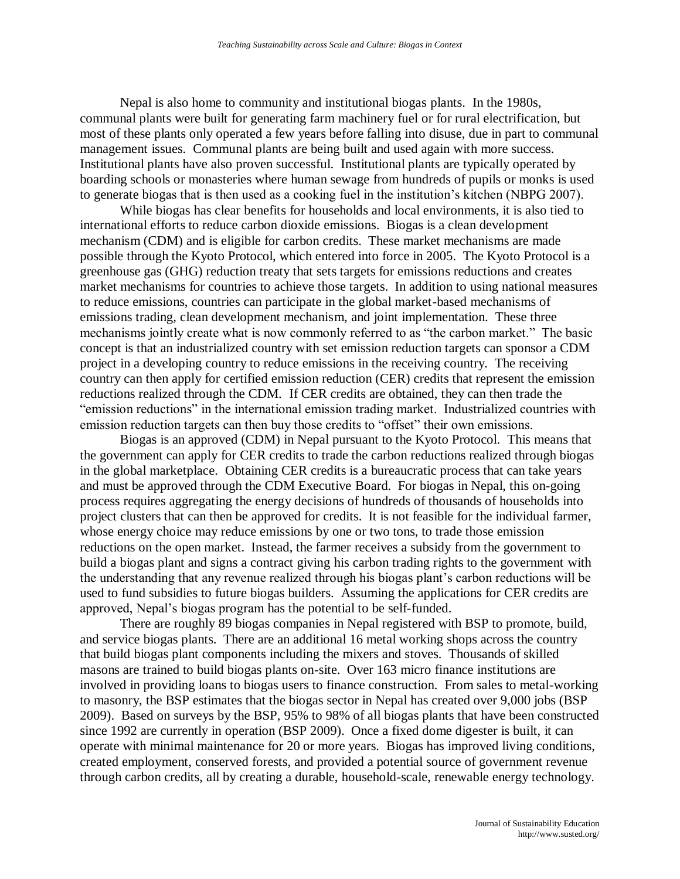Nepal is also home to community and institutional biogas plants. In the 1980s, communal plants were built for generating farm machinery fuel or for rural electrification, but most of these plants only operated a few years before falling into disuse, due in part to communal management issues. Communal plants are being built and used again with more success. Institutional plants have also proven successful. Institutional plants are typically operated by boarding schools or monasteries where human sewage from hundreds of pupils or monks is used to generate biogas that is then used as a cooking fuel in the institution's kitchen (NBPG 2007).

While biogas has clear benefits for households and local environments, it is also tied to international efforts to reduce carbon dioxide emissions. Biogas is a clean development mechanism (CDM) and is eligible for carbon credits. These market mechanisms are made possible through the Kyoto Protocol, which entered into force in 2005. The Kyoto Protocol is a greenhouse gas (GHG) reduction treaty that sets targets for emissions reductions and creates market mechanisms for countries to achieve those targets. In addition to using national measures to reduce emissions, countries can participate in the global market-based mechanisms of emissions trading, clean development mechanism, and joint implementation. These three mechanisms jointly create what is now commonly referred to as "the carbon market." The basic concept is that an industrialized country with set emission reduction targets can sponsor a CDM project in a developing country to reduce emissions in the receiving country. The receiving country can then apply for certified emission reduction (CER) credits that represent the emission reductions realized through the CDM. If CER credits are obtained, they can then trade the "emission reductions" in the international emission trading market. Industrialized countries with emission reduction targets can then buy those credits to "offset" their own emissions.

Biogas is an approved (CDM) in Nepal pursuant to the Kyoto Protocol. This means that the government can apply for CER credits to trade the carbon reductions realized through biogas in the global marketplace. Obtaining CER credits is a bureaucratic process that can take years and must be approved through the CDM Executive Board. For biogas in Nepal, this on-going process requires aggregating the energy decisions of hundreds of thousands of households into project clusters that can then be approved for credits. It is not feasible for the individual farmer, whose energy choice may reduce emissions by one or two tons, to trade those emission reductions on the open market. Instead, the farmer receives a subsidy from the government to build a biogas plant and signs a contract giving his carbon trading rights to the government with the understanding that any revenue realized through his biogas plant's carbon reductions will be used to fund subsidies to future biogas builders. Assuming the applications for CER credits are approved, Nepal's biogas program has the potential to be self-funded.

There are roughly 89 biogas companies in Nepal registered with BSP to promote, build, and service biogas plants. There are an additional 16 metal working shops across the country that build biogas plant components including the mixers and stoves. Thousands of skilled masons are trained to build biogas plants on-site. Over 163 micro finance institutions are involved in providing loans to biogas users to finance construction. From sales to metal-working to masonry, the BSP estimates that the biogas sector in Nepal has created over 9,000 jobs (BSP 2009). Based on surveys by the BSP, 95% to 98% of all biogas plants that have been constructed since 1992 are currently in operation (BSP 2009). Once a fixed dome digester is built, it can operate with minimal maintenance for 20 or more years. Biogas has improved living conditions, created employment, conserved forests, and provided a potential source of government revenue through carbon credits, all by creating a durable, household-scale, renewable energy technology.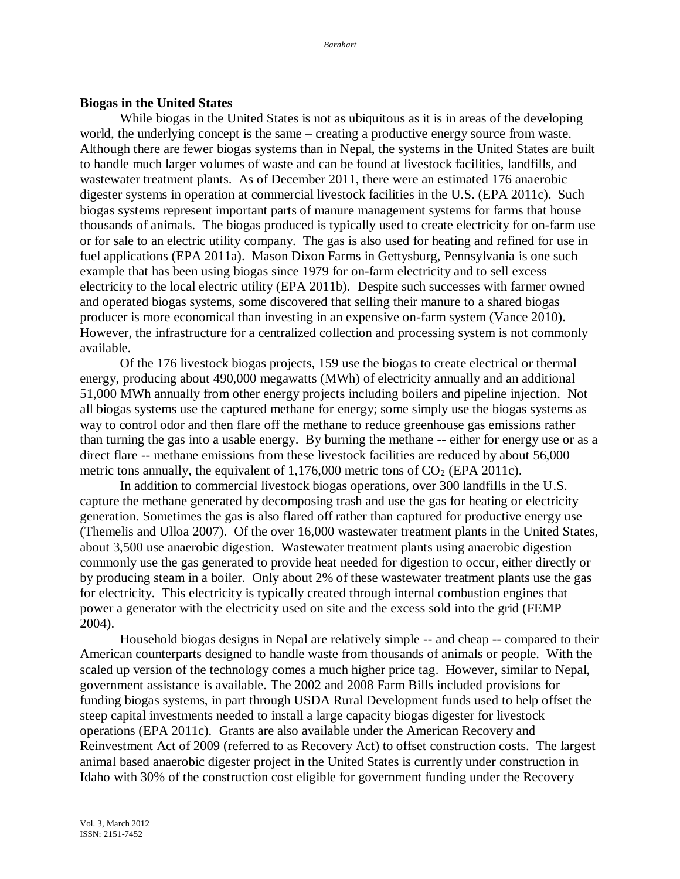### **Biogas in the United States**

While biogas in the United States is not as ubiquitous as it is in areas of the developing world, the underlying concept is the same – creating a productive energy source from waste. Although there are fewer biogas systems than in Nepal, the systems in the United States are built to handle much larger volumes of waste and can be found at livestock facilities, landfills, and wastewater treatment plants. As of December 2011, there were an estimated 176 anaerobic digester systems in operation at commercial livestock facilities in the U.S. (EPA 2011c). Such biogas systems represent important parts of manure management systems for farms that house thousands of animals. The biogas produced is typically used to create electricity for on-farm use or for sale to an electric utility company. The gas is also used for heating and refined for use in fuel applications (EPA 2011a). Mason Dixon Farms in Gettysburg, Pennsylvania is one such example that has been using biogas since 1979 for on-farm electricity and to sell excess electricity to the local electric utility (EPA 2011b). Despite such successes with farmer owned and operated biogas systems, some discovered that selling their manure to a shared biogas producer is more economical than investing in an expensive on-farm system (Vance 2010). However, the infrastructure for a centralized collection and processing system is not commonly available.

Of the 176 livestock biogas projects, 159 use the biogas to create electrical or thermal energy, producing about 490,000 megawatts (MWh) of electricity annually and an additional 51,000 MWh annually from other energy projects including boilers and pipeline injection. Not all biogas systems use the captured methane for energy; some simply use the biogas systems as way to control odor and then flare off the methane to reduce greenhouse gas emissions rather than turning the gas into a usable energy. By burning the methane -- either for energy use or as a direct flare -- methane emissions from these livestock facilities are reduced by about 56,000 metric tons annually, the equivalent of  $1,176,000$  metric tons of  $CO<sub>2</sub>$  (EPA 2011c).

In addition to commercial livestock biogas operations, over 300 landfills in the U.S. capture the methane generated by decomposing trash and use the gas for heating or electricity generation. Sometimes the gas is also flared off rather than captured for productive energy use (Themelis and Ulloa 2007). Of the over 16,000 wastewater treatment plants in the United States, about 3,500 use anaerobic digestion. Wastewater treatment plants using anaerobic digestion commonly use the gas generated to provide heat needed for digestion to occur, either directly or by producing steam in a boiler. Only about 2% of these wastewater treatment plants use the gas for electricity. This electricity is typically created through internal combustion engines that power a generator with the electricity used on site and the excess sold into the grid (FEMP 2004).

Household biogas designs in Nepal are relatively simple -- and cheap -- compared to their American counterparts designed to handle waste from thousands of animals or people. With the scaled up version of the technology comes a much higher price tag. However, similar to Nepal, government assistance is available. The 2002 and 2008 Farm Bills included provisions for funding biogas systems, in part through USDA Rural Development funds used to help offset the steep capital investments needed to install a large capacity biogas digester for livestock operations (EPA 2011c). Grants are also available under the American Recovery and Reinvestment Act of 2009 (referred to as Recovery Act) to offset construction costs. The largest animal based anaerobic digester project in the United States is currently under construction in Idaho with 30% of the construction cost eligible for government funding under the Recovery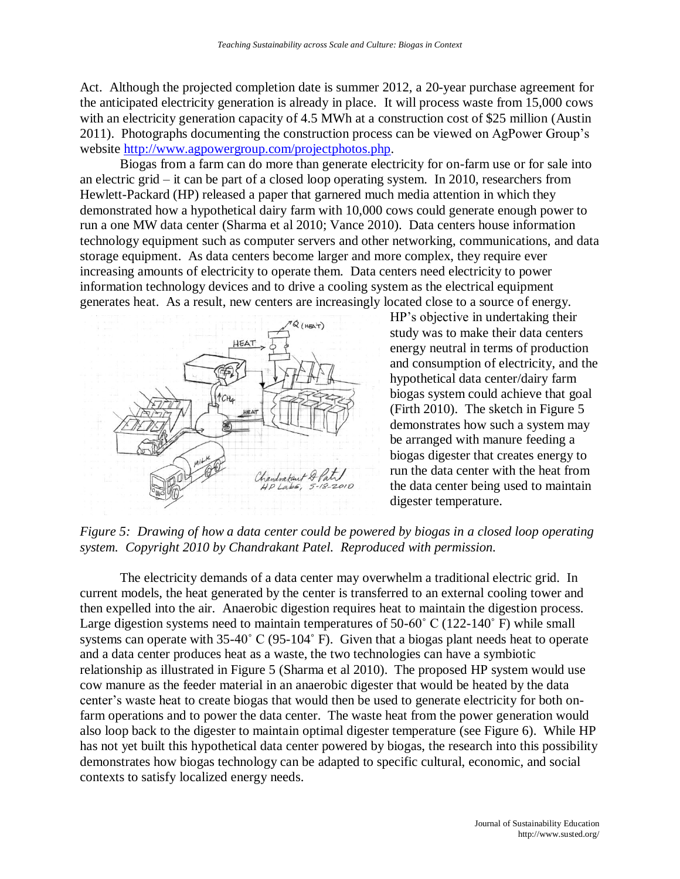Act. Although the projected completion date is summer 2012, a 20-year purchase agreement for the anticipated electricity generation is already in place. It will process waste from 15,000 cows with an electricity generation capacity of 4.5 MWh at a construction cost of \$25 million (Austin 2011). Photographs documenting the construction process can be viewed on AgPower Group's website [http://www.agpowergroup.com/projectphotos.php.](http://www.agpowergroup.com/projectphotos.php)

Biogas from a farm can do more than generate electricity for on-farm use or for sale into an electric grid – it can be part of a closed loop operating system. In 2010, researchers from Hewlett-Packard (HP) released a paper that garnered much media attention in which they demonstrated how a hypothetical dairy farm with 10,000 cows could generate enough power to run a one MW data center (Sharma et al 2010; Vance 2010). Data centers house information technology equipment such as computer servers and other networking, communications, and data storage equipment. As data centers become larger and more complex, they require ever increasing amounts of electricity to operate them. Data centers need electricity to power information technology devices and to drive a cooling system as the electrical equipment generates heat. As a result, new centers are increasingly located close to a source of energy.



HP's objective in undertaking their study was to make their data centers energy neutral in terms of production and consumption of electricity, and the hypothetical data center/dairy farm biogas system could achieve that goal (Firth 2010). The sketch in Figure 5 demonstrates how such a system may be arranged with manure feeding a biogas digester that creates energy to run the data center with the heat from the data center being used to maintain digester temperature.

*Figure 5: Drawing of how a data center could be powered by biogas in a closed loop operating system. Copyright 2010 by Chandrakant Patel. Reproduced with permission.* 

The electricity demands of a data center may overwhelm a traditional electric grid. In current models, the heat generated by the center is transferred to an external cooling tower and then expelled into the air. Anaerobic digestion requires heat to maintain the digestion process. Large digestion systems need to maintain temperatures of 50-60° C (122-140° F) while small systems can operate with 35-40˚ C (95-104˚ F). Given that a biogas plant needs heat to operate and a data center produces heat as a waste, the two technologies can have a symbiotic relationship as illustrated in Figure 5 (Sharma et al 2010). The proposed HP system would use cow manure as the feeder material in an anaerobic digester that would be heated by the data center's waste heat to create biogas that would then be used to generate electricity for both onfarm operations and to power the data center. The waste heat from the power generation would also loop back to the digester to maintain optimal digester temperature (see Figure 6). While HP has not yet built this hypothetical data center powered by biogas, the research into this possibility demonstrates how biogas technology can be adapted to specific cultural, economic, and social contexts to satisfy localized energy needs.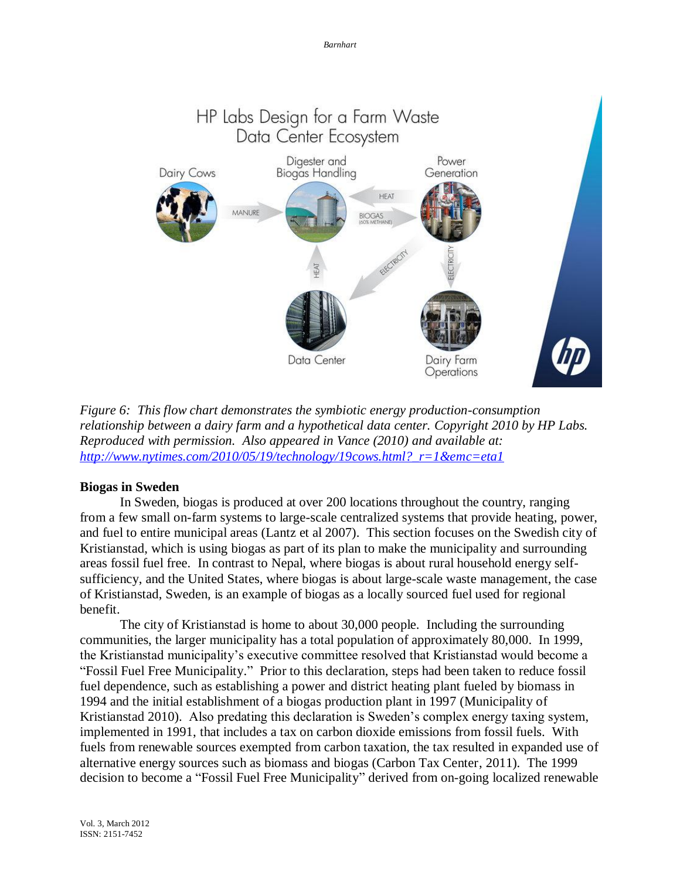

*Figure 6: This flow chart demonstrates the symbiotic energy production-consumption relationship between a dairy farm and a hypothetical data center. Copyright 2010 by HP Labs. Reproduced with permission. Also appeared in Vance (2010) and available at: [http://www.nytimes.com/2010/05/19/technology/19cows.html?\\_r=1&emc=eta1](http://www.nytimes.com/2010/05/19/technology/19cows.html?_r=1&emc=eta1)*

## **Biogas in Sweden**

In Sweden, biogas is produced at over 200 locations throughout the country, ranging from a few small on-farm systems to large-scale centralized systems that provide heating, power, and fuel to entire municipal areas (Lantz et al 2007). This section focuses on the Swedish city of Kristianstad, which is using biogas as part of its plan to make the municipality and surrounding areas fossil fuel free. In contrast to Nepal, where biogas is about rural household energy selfsufficiency, and the United States, where biogas is about large-scale waste management, the case of Kristianstad, Sweden, is an example of biogas as a locally sourced fuel used for regional benefit.

The city of Kristianstad is home to about 30,000 people. Including the surrounding communities, the larger municipality has a total population of approximately 80,000. In 1999, the Kristianstad municipality's executive committee resolved that Kristianstad would become a "Fossil Fuel Free Municipality." Prior to this declaration, steps had been taken to reduce fossil fuel dependence, such as establishing a power and district heating plant fueled by biomass in 1994 and the initial establishment of a biogas production plant in 1997 (Municipality of Kristianstad 2010). Also predating this declaration is Sweden's complex energy taxing system, implemented in 1991, that includes a tax on carbon dioxide emissions from fossil fuels. With fuels from renewable sources exempted from carbon taxation, the tax resulted in expanded use of alternative energy sources such as biomass and biogas (Carbon Tax Center, 2011). The 1999 decision to become a "Fossil Fuel Free Municipality" derived from on-going localized renewable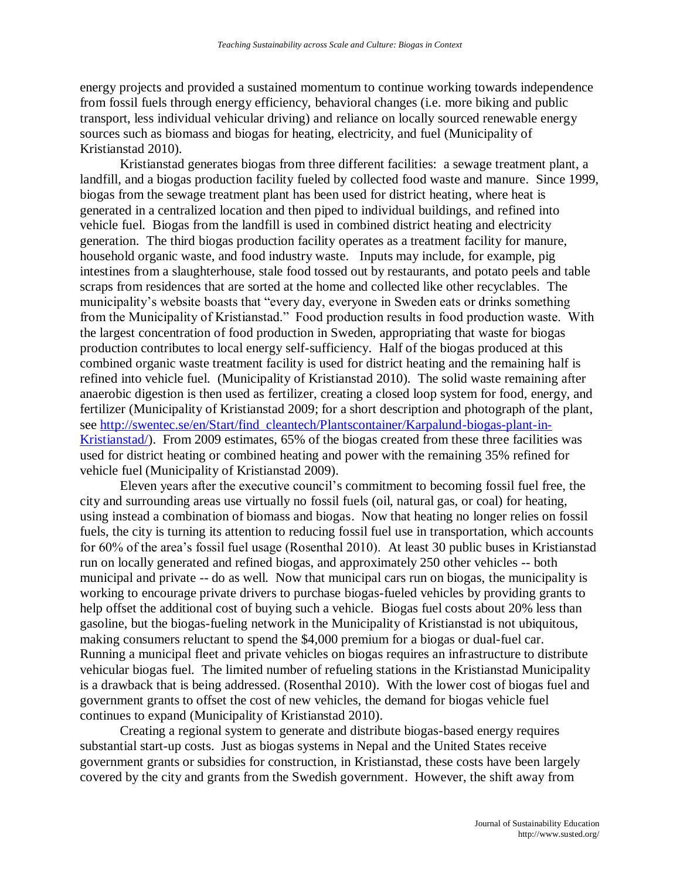energy projects and provided a sustained momentum to continue working towards independence from fossil fuels through energy efficiency, behavioral changes (i.e. more biking and public transport, less individual vehicular driving) and reliance on locally sourced renewable energy sources such as biomass and biogas for heating, electricity, and fuel (Municipality of Kristianstad 2010).

Kristianstad generates biogas from three different facilities: a sewage treatment plant, a landfill, and a biogas production facility fueled by collected food waste and manure. Since 1999, biogas from the sewage treatment plant has been used for district heating, where heat is generated in a centralized location and then piped to individual buildings, and refined into vehicle fuel. Biogas from the landfill is used in combined district heating and electricity generation. The third biogas production facility operates as a treatment facility for manure, household organic waste, and food industry waste. Inputs may include, for example, pig intestines from a slaughterhouse, stale food tossed out by restaurants, and potato peels and table scraps from residences that are sorted at the home and collected like other recyclables. The municipality's website boasts that "every day, everyone in Sweden eats or drinks something from the Municipality of Kristianstad." Food production results in food production waste. With the largest concentration of food production in Sweden, appropriating that waste for biogas production contributes to local energy self-sufficiency. Half of the biogas produced at this combined organic waste treatment facility is used for district heating and the remaining half is refined into vehicle fuel. (Municipality of Kristianstad 2010). The solid waste remaining after anaerobic digestion is then used as fertilizer, creating a closed loop system for food, energy, and fertilizer (Municipality of Kristianstad 2009; for a short description and photograph of the plant, see [http://swentec.se/en/Start/find\\_cleantech/Plantscontainer/Karpalund-biogas-plant-in-](http://swentec.se/en/Start/find_cleantech/Plantscontainer/Karpalund-biogas-plant-in-Kristianstad/)[Kristianstad/\)](http://swentec.se/en/Start/find_cleantech/Plantscontainer/Karpalund-biogas-plant-in-Kristianstad/). From 2009 estimates, 65% of the biogas created from these three facilities was used for district heating or combined heating and power with the remaining 35% refined for vehicle fuel (Municipality of Kristianstad 2009).

Eleven years after the executive council's commitment to becoming fossil fuel free, the city and surrounding areas use virtually no fossil fuels (oil, natural gas, or coal) for heating, using instead a combination of biomass and biogas. Now that heating no longer relies on fossil fuels, the city is turning its attention to reducing fossil fuel use in transportation, which accounts for 60% of the area's fossil fuel usage (Rosenthal 2010). At least 30 public buses in Kristianstad run on locally generated and refined biogas, and approximately 250 other vehicles -- both municipal and private -- do as well. Now that municipal cars run on biogas, the municipality is working to encourage private drivers to purchase biogas-fueled vehicles by providing grants to help offset the additional cost of buying such a vehicle. Biogas fuel costs about 20% less than gasoline, but the biogas-fueling network in the Municipality of Kristianstad is not ubiquitous, making consumers reluctant to spend the \$4,000 premium for a biogas or dual-fuel car. Running a municipal fleet and private vehicles on biogas requires an infrastructure to distribute vehicular biogas fuel. The limited number of refueling stations in the Kristianstad Municipality is a drawback that is being addressed. (Rosenthal 2010). With the lower cost of biogas fuel and government grants to offset the cost of new vehicles, the demand for biogas vehicle fuel continues to expand (Municipality of Kristianstad 2010).

Creating a regional system to generate and distribute biogas-based energy requires substantial start-up costs. Just as biogas systems in Nepal and the United States receive government grants or subsidies for construction, in Kristianstad, these costs have been largely covered by the city and grants from the Swedish government. However, the shift away from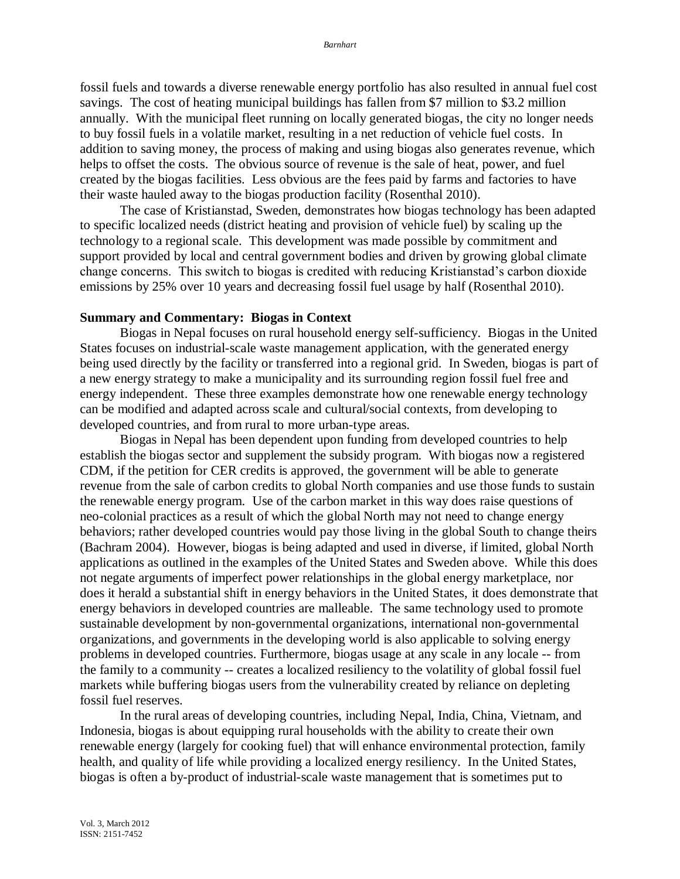fossil fuels and towards a diverse renewable energy portfolio has also resulted in annual fuel cost savings. The cost of heating municipal buildings has fallen from \$7 million to \$3.2 million annually. With the municipal fleet running on locally generated biogas, the city no longer needs to buy fossil fuels in a volatile market, resulting in a net reduction of vehicle fuel costs. In addition to saving money, the process of making and using biogas also generates revenue, which helps to offset the costs. The obvious source of revenue is the sale of heat, power, and fuel created by the biogas facilities. Less obvious are the fees paid by farms and factories to have their waste hauled away to the biogas production facility (Rosenthal 2010).

The case of Kristianstad, Sweden, demonstrates how biogas technology has been adapted to specific localized needs (district heating and provision of vehicle fuel) by scaling up the technology to a regional scale. This development was made possible by commitment and support provided by local and central government bodies and driven by growing global climate change concerns. This switch to biogas is credited with reducing Kristianstad's carbon dioxide emissions by 25% over 10 years and decreasing fossil fuel usage by half (Rosenthal 2010).

#### **Summary and Commentary: Biogas in Context**

Biogas in Nepal focuses on rural household energy self-sufficiency. Biogas in the United States focuses on industrial-scale waste management application, with the generated energy being used directly by the facility or transferred into a regional grid. In Sweden, biogas is part of a new energy strategy to make a municipality and its surrounding region fossil fuel free and energy independent. These three examples demonstrate how one renewable energy technology can be modified and adapted across scale and cultural/social contexts, from developing to developed countries, and from rural to more urban-type areas.

Biogas in Nepal has been dependent upon funding from developed countries to help establish the biogas sector and supplement the subsidy program. With biogas now a registered CDM, if the petition for CER credits is approved, the government will be able to generate revenue from the sale of carbon credits to global North companies and use those funds to sustain the renewable energy program. Use of the carbon market in this way does raise questions of neo-colonial practices as a result of which the global North may not need to change energy behaviors; rather developed countries would pay those living in the global South to change theirs (Bachram 2004). However, biogas is being adapted and used in diverse, if limited, global North applications as outlined in the examples of the United States and Sweden above. While this does not negate arguments of imperfect power relationships in the global energy marketplace, nor does it herald a substantial shift in energy behaviors in the United States, it does demonstrate that energy behaviors in developed countries are malleable. The same technology used to promote sustainable development by non-governmental organizations, international non-governmental organizations, and governments in the developing world is also applicable to solving energy problems in developed countries. Furthermore, biogas usage at any scale in any locale -- from the family to a community -- creates a localized resiliency to the volatility of global fossil fuel markets while buffering biogas users from the vulnerability created by reliance on depleting fossil fuel reserves.

In the rural areas of developing countries, including Nepal, India, China, Vietnam, and Indonesia, biogas is about equipping rural households with the ability to create their own renewable energy (largely for cooking fuel) that will enhance environmental protection, family health, and quality of life while providing a localized energy resiliency. In the United States, biogas is often a by-product of industrial-scale waste management that is sometimes put to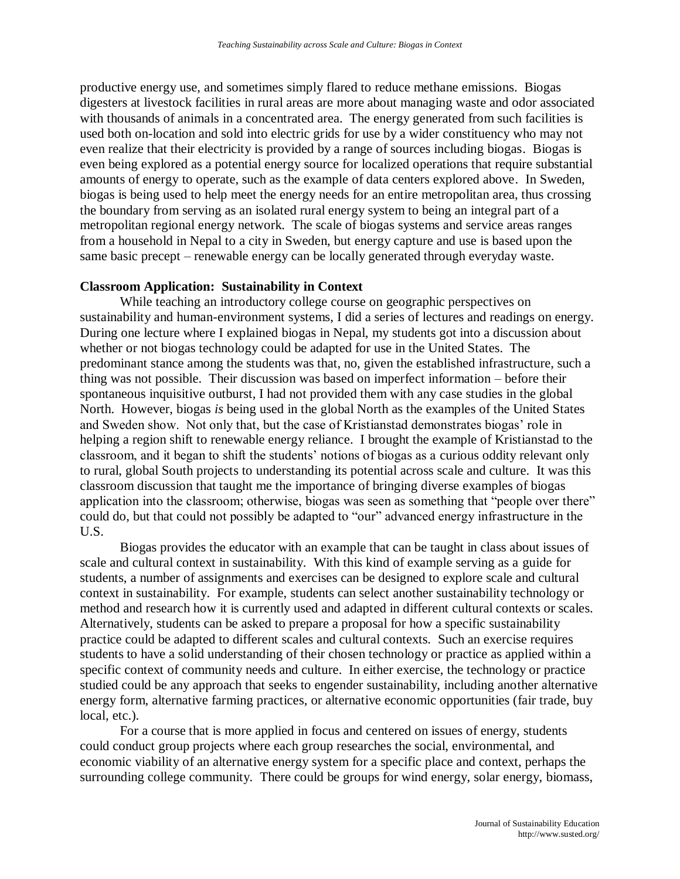productive energy use, and sometimes simply flared to reduce methane emissions. Biogas digesters at livestock facilities in rural areas are more about managing waste and odor associated with thousands of animals in a concentrated area. The energy generated from such facilities is used both on-location and sold into electric grids for use by a wider constituency who may not even realize that their electricity is provided by a range of sources including biogas. Biogas is even being explored as a potential energy source for localized operations that require substantial amounts of energy to operate, such as the example of data centers explored above. In Sweden, biogas is being used to help meet the energy needs for an entire metropolitan area, thus crossing the boundary from serving as an isolated rural energy system to being an integral part of a metropolitan regional energy network. The scale of biogas systems and service areas ranges from a household in Nepal to a city in Sweden, but energy capture and use is based upon the same basic precept – renewable energy can be locally generated through everyday waste.

## **Classroom Application: Sustainability in Context**

While teaching an introductory college course on geographic perspectives on sustainability and human-environment systems, I did a series of lectures and readings on energy. During one lecture where I explained biogas in Nepal, my students got into a discussion about whether or not biogas technology could be adapted for use in the United States. The predominant stance among the students was that, no, given the established infrastructure, such a thing was not possible. Their discussion was based on imperfect information – before their spontaneous inquisitive outburst, I had not provided them with any case studies in the global North. However, biogas *is* being used in the global North as the examples of the United States and Sweden show. Not only that, but the case of Kristianstad demonstrates biogas' role in helping a region shift to renewable energy reliance. I brought the example of Kristianstad to the classroom, and it began to shift the students' notions of biogas as a curious oddity relevant only to rural, global South projects to understanding its potential across scale and culture. It was this classroom discussion that taught me the importance of bringing diverse examples of biogas application into the classroom; otherwise, biogas was seen as something that "people over there" could do, but that could not possibly be adapted to "our" advanced energy infrastructure in the U.S.

Biogas provides the educator with an example that can be taught in class about issues of scale and cultural context in sustainability. With this kind of example serving as a guide for students, a number of assignments and exercises can be designed to explore scale and cultural context in sustainability. For example, students can select another sustainability technology or method and research how it is currently used and adapted in different cultural contexts or scales. Alternatively, students can be asked to prepare a proposal for how a specific sustainability practice could be adapted to different scales and cultural contexts. Such an exercise requires students to have a solid understanding of their chosen technology or practice as applied within a specific context of community needs and culture. In either exercise, the technology or practice studied could be any approach that seeks to engender sustainability, including another alternative energy form, alternative farming practices, or alternative economic opportunities (fair trade, buy local, etc.).

For a course that is more applied in focus and centered on issues of energy, students could conduct group projects where each group researches the social, environmental, and economic viability of an alternative energy system for a specific place and context, perhaps the surrounding college community. There could be groups for wind energy, solar energy, biomass,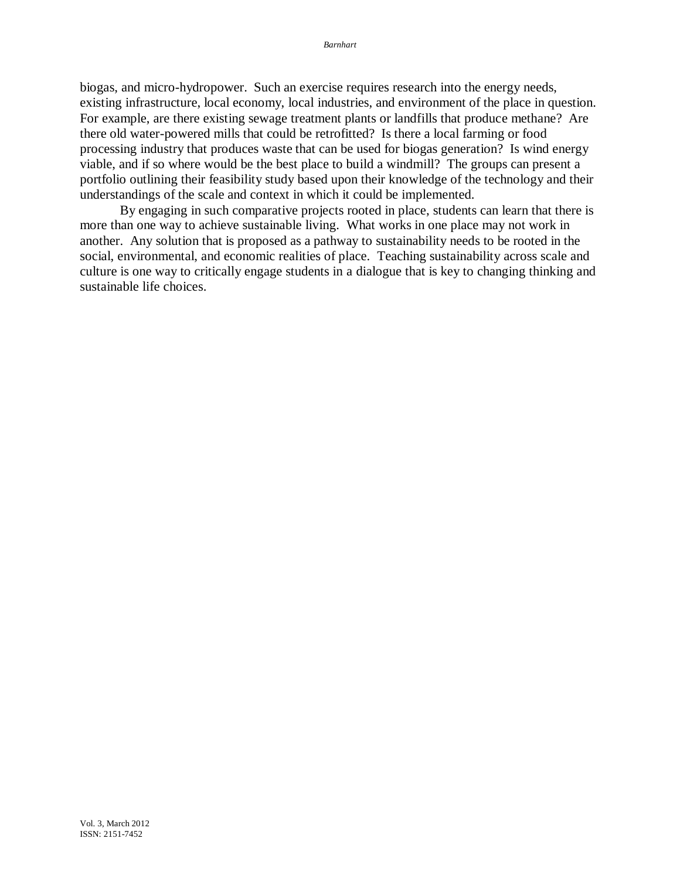biogas, and micro-hydropower. Such an exercise requires research into the energy needs, existing infrastructure, local economy, local industries, and environment of the place in question. For example, are there existing sewage treatment plants or landfills that produce methane? Are there old water-powered mills that could be retrofitted? Is there a local farming or food processing industry that produces waste that can be used for biogas generation? Is wind energy viable, and if so where would be the best place to build a windmill? The groups can present a portfolio outlining their feasibility study based upon their knowledge of the technology and their understandings of the scale and context in which it could be implemented.

By engaging in such comparative projects rooted in place, students can learn that there is more than one way to achieve sustainable living. What works in one place may not work in another. Any solution that is proposed as a pathway to sustainability needs to be rooted in the social, environmental, and economic realities of place. Teaching sustainability across scale and culture is one way to critically engage students in a dialogue that is key to changing thinking and sustainable life choices.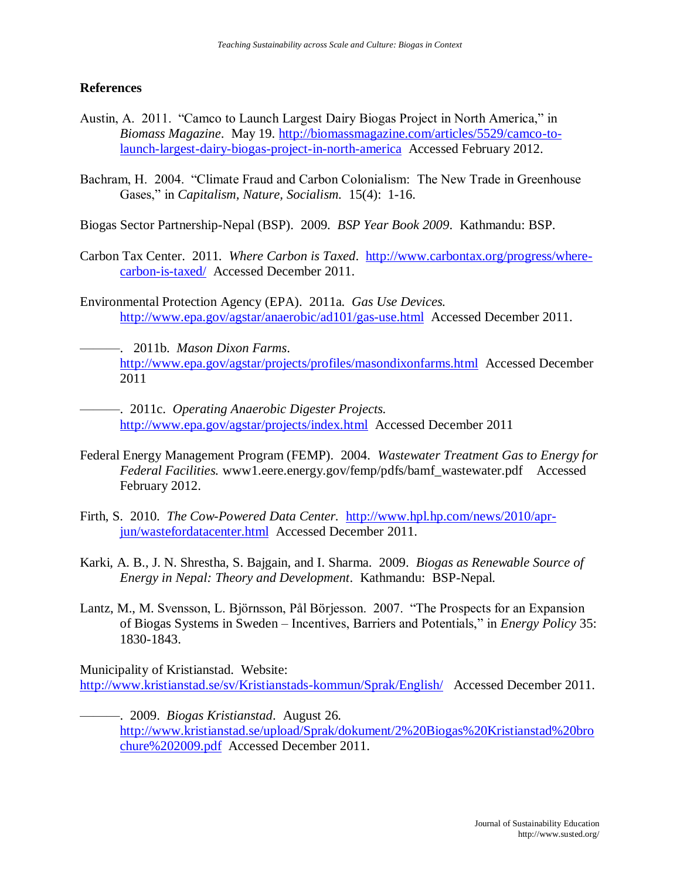## **References**

- Austin, A. 2011. "Camco to Launch Largest Dairy Biogas Project in North America," in *Biomass Magazine*. May 19. [http://biomassmagazine.com/articles/5529/camco-to](http://biomassmagazine.com/articles/5529/camco-to-launch-largest-dairy-biogas-project-in-north-america)[launch-largest-dairy-biogas-project-in-north-america](http://biomassmagazine.com/articles/5529/camco-to-launch-largest-dairy-biogas-project-in-north-america) Accessed February 2012.
- Bachram, H. 2004. "Climate Fraud and Carbon Colonialism: The New Trade in Greenhouse Gases," in *Capitalism, Nature, Socialism.* 15(4): 1-16.

Biogas Sector Partnership-Nepal (BSP). 2009. *BSP Year Book 2009*. Kathmandu: BSP.

- Carbon Tax Center. 2011. *Where Carbon is Taxed*. [http://www.carbontax.org/progress/where](http://www.carbontax.org/progress/where-carbon-is-taxed/)[carbon-is-taxed/](http://www.carbontax.org/progress/where-carbon-is-taxed/) Accessed December 2011.
- Environmental Protection Agency (EPA). 2011a. *Gas Use Devices.* <http://www.epa.gov/agstar/anaerobic/ad101/gas-use.html>Accessed December 2011.
	- ———. 2011b. *Mason Dixon Farms*. <http://www.epa.gov/agstar/projects/profiles/masondixonfarms.html>Accessed December 2011

———. 2011c. *Operating Anaerobic Digester Projects.* <http://www.epa.gov/agstar/projects/index.html>Accessed December 2011

- Federal Energy Management Program (FEMP). 2004. *Wastewater Treatment Gas to Energy for Federal Facilities.* www1.eere.energy.gov/femp/pdfs/bamf\_wastewater.pdf Accessed February 2012.
- Firth, S. 2010. *The Cow-Powered Data Center.* [http://www.hpl.hp.com/news/2010/apr](http://www.hpl.hp.com/news/2010/apr-jun/wastefordatacenter.html)[jun/wastefordatacenter.html](http://www.hpl.hp.com/news/2010/apr-jun/wastefordatacenter.html) Accessed December 2011.
- Karki, A. B., J. N. Shrestha, S. Bajgain, and I. Sharma. 2009. *Biogas as Renewable Source of Energy in Nepal: Theory and Development*. Kathmandu: BSP-Nepal.
- Lantz, M., M. Svensson, L. Björnsson, Pål Börjesson. 2007. "The Prospects for an Expansion of Biogas Systems in Sweden – Incentives, Barriers and Potentials," in *Energy Policy* 35: 1830-1843.

Municipality of Kristianstad. Website: <http://www.kristianstad.se/sv/Kristianstads-kommun/Sprak/English/>Accessed December 2011.

———. 2009. *Biogas Kristianstad*. August 26. [http://www.kristianstad.se/upload/Sprak/dokument/2%20Biogas%20Kristianstad%20bro](http://www.kristianstad.se/upload/Sprak/dokument/2%20Biogas%20Kristianstad%20brochure%202009.pdf) [chure%202009.pdf](http://www.kristianstad.se/upload/Sprak/dokument/2%20Biogas%20Kristianstad%20brochure%202009.pdf) Accessed December 2011.